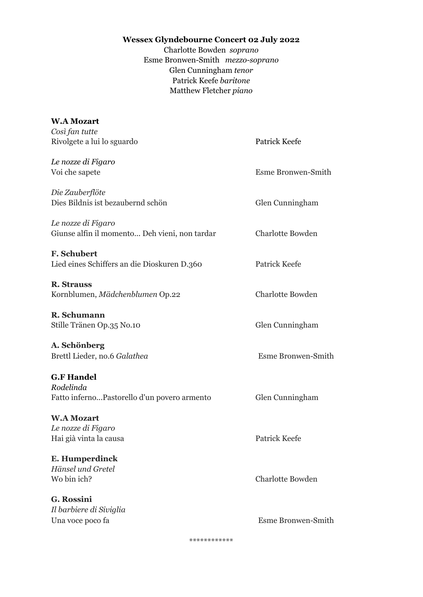## **Wessex Glyndebourne Concert 02 July 2022**

Charlotte Bowden *soprano* Esme Bronwen-Smith *mezzo-soprano* Glen Cunningham *tenor* Patrick Keefe *baritone* Matthew Fletcher *piano*

| <b>W.A Mozart</b>                             |                           |
|-----------------------------------------------|---------------------------|
| Così fan tutte                                |                           |
| Rivolgete a lui lo sguardo                    | Patrick Keefe             |
| Le nozze di Figaro                            |                           |
| Voi che sapete                                | Esme Bronwen-Smith        |
| Die Zauberflöte                               |                           |
| Dies Bildnis ist bezaubernd schön             | Glen Cunningham           |
| Le nozze di Figaro                            |                           |
| Giunse alfin il momento Deh vieni, non tardar | <b>Charlotte Bowden</b>   |
| <b>F. Schubert</b>                            |                           |
| Lied eines Schiffers an die Dioskuren D.360   | Patrick Keefe             |
| <b>R. Strauss</b>                             |                           |
| Kornblumen, Mädchenblumen Op.22               | <b>Charlotte Bowden</b>   |
| R. Schumann                                   |                           |
| Stille Tränen Op.35 No.10                     | Glen Cunningham           |
| A. Schönberg                                  |                           |
| Brettl Lieder, no.6 Galathea                  | <b>Esme Bronwen-Smith</b> |
| <b>G.F Handel</b>                             |                           |
| Rodelinda                                     |                           |
| Fatto infernoPastorello d'un povero armento   | Glen Cunningham           |
| <b>W.A Mozart</b>                             |                           |
| Le nozze di Figaro                            |                           |
| Hai già vinta la causa                        | Patrick Keefe             |
| E. Humperdinck                                |                           |
| Hänsel und Gretel                             |                           |
| Wo bin ich?                                   | <b>Charlotte Bowden</b>   |
| G. Rossini                                    |                           |
| Il barbiere di Siviglia                       |                           |
| Una voce poco fa                              | Esme Bronwen-Smith        |

\*\*\*\*\*\*\*\*\*\*\*\*